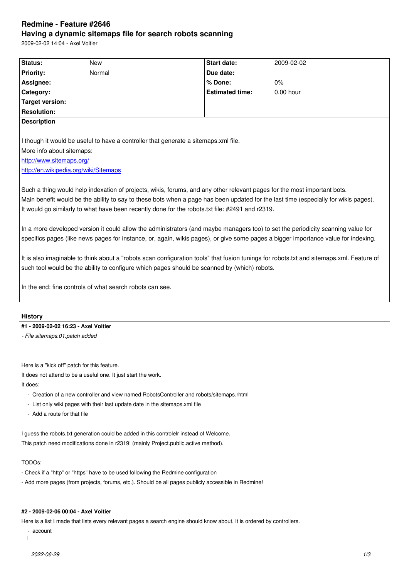#### **Having a dynamic sitemaps file for search robots scanning**

2009-02-02 14:04 - Axel Voitier

| Status:                   | <b>New</b>                                                                                                                                                                                                                                                                                                                                                         | <b>Start date:</b>     | 2009-02-02 |
|---------------------------|--------------------------------------------------------------------------------------------------------------------------------------------------------------------------------------------------------------------------------------------------------------------------------------------------------------------------------------------------------------------|------------------------|------------|
| <b>Priority:</b>          | Normal                                                                                                                                                                                                                                                                                                                                                             | Due date:              |            |
| Assignee:                 |                                                                                                                                                                                                                                                                                                                                                                    | % Done:                | 0%         |
| Category:                 |                                                                                                                                                                                                                                                                                                                                                                    | <b>Estimated time:</b> | 0.00 hour  |
| <b>Target version:</b>    |                                                                                                                                                                                                                                                                                                                                                                    |                        |            |
| <b>Resolution:</b>        |                                                                                                                                                                                                                                                                                                                                                                    |                        |            |
| <b>Description</b>        |                                                                                                                                                                                                                                                                                                                                                                    |                        |            |
|                           | I though it would be useful to have a controller that generate a sitemaps.xml file.                                                                                                                                                                                                                                                                                |                        |            |
| More info about sitemaps: |                                                                                                                                                                                                                                                                                                                                                                    |                        |            |
| http://www.sitemaps.org/  |                                                                                                                                                                                                                                                                                                                                                                    |                        |            |
|                           | http://en.wikipedia.org/wiki/Sitemaps                                                                                                                                                                                                                                                                                                                              |                        |            |
|                           | Such a thing would help indexation of projects, wikis, forums, and any other relevant pages for the most important bots.<br>Main benefit would be the ability to say to these bots when a page has been updated for the last time (especially for wikis pages).<br>It would go similarly to what have been recently done for the robots.txt file: #2491 and r2319. |                        |            |
|                           | In a more developed version it could allow the administrators (and maybe managers too) to set the periodicity scanning value for<br>specifics pages (like news pages for instance, or, again, wikis pages), or give some pages a bigger importance value for indexing.                                                                                             |                        |            |
|                           | It is also imaginable to think about a "robots scan configuration tools" that fusion tunings for robots.txt and sitemaps.xml. Feature of                                                                                                                                                                                                                           |                        |            |
|                           | such tool would be the ability to configure which pages should be scanned by (which) robots.                                                                                                                                                                                                                                                                       |                        |            |
|                           | In the end: fine controls of what search robots can see.                                                                                                                                                                                                                                                                                                           |                        |            |
| <b>History</b>            |                                                                                                                                                                                                                                                                                                                                                                    |                        |            |
|                           | #1 - 2009-02-02 16:23 - Axel Voitier                                                                                                                                                                                                                                                                                                                               |                        |            |

Here is a "kick off" patch for this feature.

It does not attend to be a useful one. It just start the work.

It does:

- Creation of a new controller and view named RobotsController and robots/sitemaps.rhtml

- List only wiki pages with their last update date in the sitemaps.xml file
- Add a route for that file

I guess the robots.txt generation could be added in this controlelr instead of Welcome. This patch need modifications done in r2319! (mainly Project.public.active method).

# TODOs:

- Check if a "http" or "https" have to be used following the Redmine configuration
- Add more pages (from projects, forums, etc.). Should be all pages publicly accessible in Redmine!

## **#2 - 2009-02-06 00:04 - Axel Voitier**

Here is a list I made that lists every relevant pages a search engine should know about. It is ordered by controllers.

- account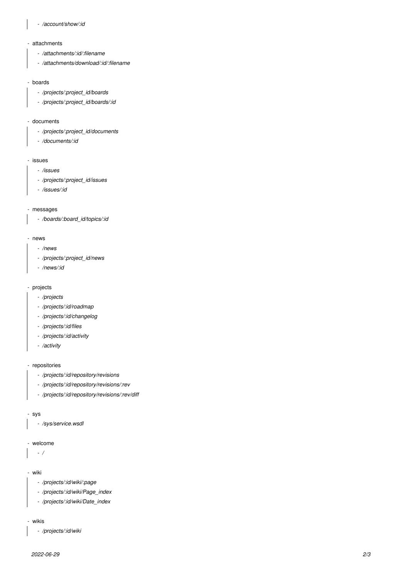## *- /account/show/:id*

#### - attachments

- */attachments/:id/:filename*
- */attachments/download/:id/:filename*

### - boards

- */projects/:project\_id/boards*
- */projects/:project\_id/boards/:id*

## - documents

- */projects/:project\_id/documents*
- */documents/:id*

#### - issues

- */issues*
- */projects/:project\_id/issues*
- */issues/:id*

## - messages

 *- /boards/:board\_id/topics/:id*

#### - news

- */news*
- */projects/:project\_id/news*
- */news/:id*

#### - projects

- */projects*
- */projects/:id/roadmap*
- */projects/:id/changelog*
- */projects/:id/files*
- */projects/:id/activity*
- */activity*

## - repositories

- */projects/:id/repository/revisions*
- */projects/:id/repository/revisions/:rev*
- */projects/:id/repository/revisions/:rev/diff*

#### - sys

 *- /sys/service.wsdl*

## - welcome

 *- /*

#### - wiki

- */projects/:id/wiki/:page*
- */projects/:id/wiki/Page\_index*
- */projects/:id/wiki/Date\_index*

#### - wikis

 *- /projects/:id/wiki*